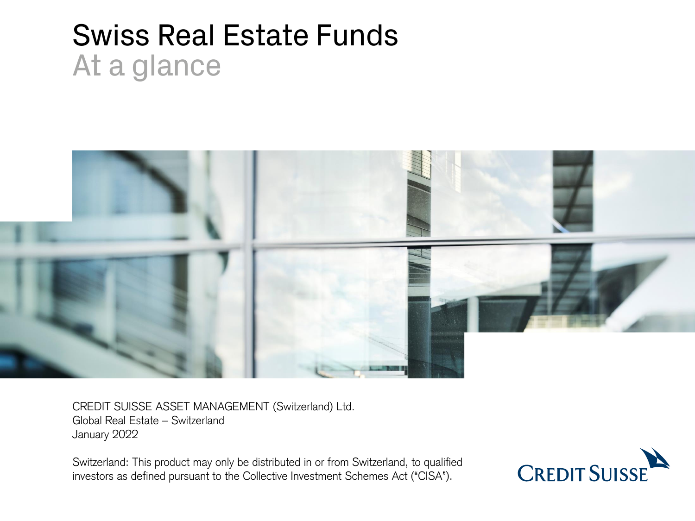# Swiss Real Estate Funds At a glance



CREDIT SUISSE ASSET MANAGEMENT (Switzerland) Ltd. Global Real Estate – Switzerland January 2022

Switzerland: This product may only be distributed in or from Switzerland, to qualified investors as defined pursuant to the Collective Investment Schemes Act ("CISA").

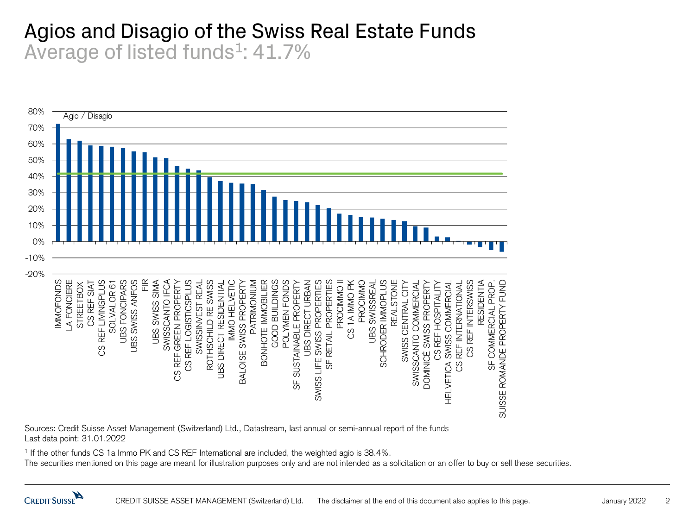#### Agios and Disagio of the Swiss Real Estate Funds Average of listed funds<sup>1</sup>: 41.7%



Sources: Credit Suisse Asset Management (Switzerland) Ltd., Datastream, last annual or semi-annual report of the funds Last data point: 31.01.2022

1 If the other funds CS 1a Immo PK and CS REF International are included, the weighted agio is 38.4%.

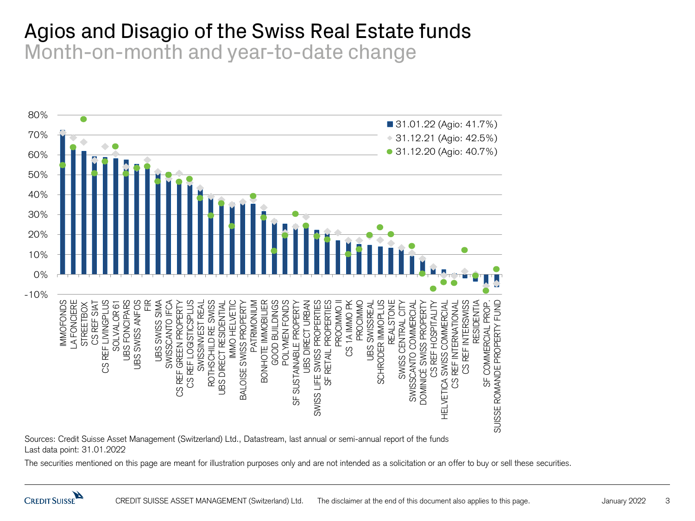#### Agios and Disagio of the Swiss Real Estate funds Month-on-month and year-to-date change



Sources: Credit Suisse Asset Management (Switzerland) Ltd., Datastream, last annual or semi-annual report of the funds Last data point: 31.01.2022

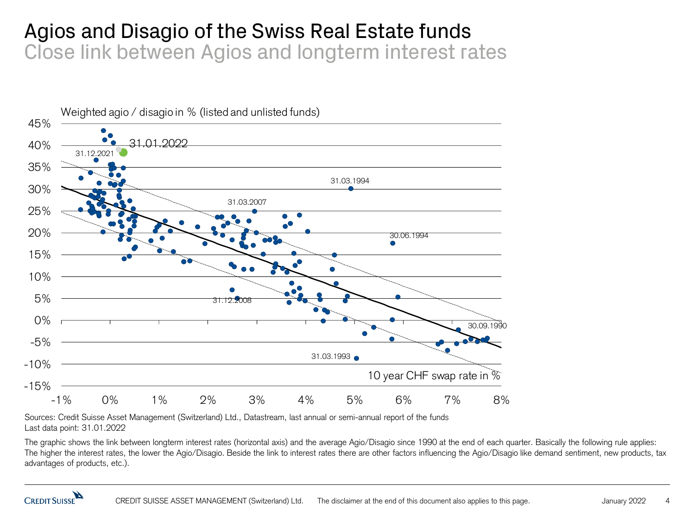#### Agios and Disagio of the Swiss Real Estate funds Close link between Agios and longterm interest rates



Sources: Credit Suisse Asset Management (Switzerland) Ltd., Datastream, last annual or semi-annual report of the funds Last data point: 31.01.2022

The graphic shows the link between longterm interest rates (horizontal axis) and the average Agio/Disagio since 1990 at the end of each quarter. Basically the following rule applies: The higher the interest rates, the lower the Agio/Disagio. Beside the link to interest rates there are other factors influencing the Agio/Disagio like demand sentiment, new products, tax advantages of products, etc.).

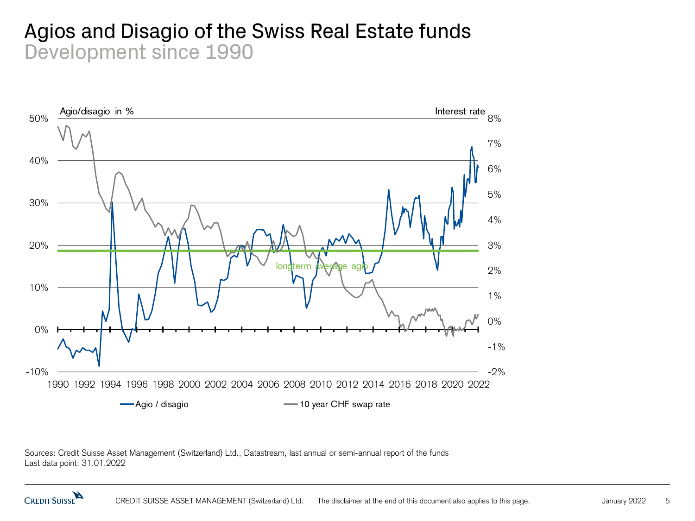#### Agios and Disagio of the Swiss Real Estate funds Development since 1990



Sources: Credit Suisse Asset Management (Switzerland) Ltd., Datastream, last annual or semi-annual report of the funds Last data point: 31.01.2022

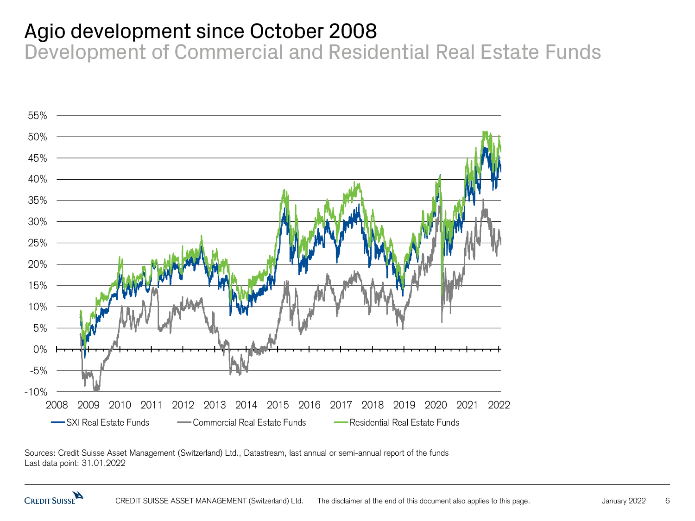#### Agio development since October 2008

Development of Commercial and Residential Real Estate Funds



Sources: Credit Suisse Asset Management (Switzerland) Ltd., Datastream, last annual or semi-annual report of the funds Last data point: 31.01.2022

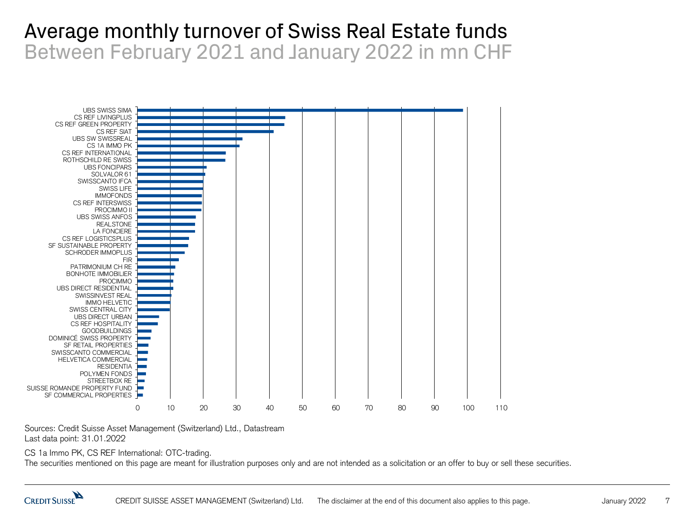#### Average monthly turnover of Swiss Real Estate funds Between February 2021 and January 2022 in mn CHF



Sources: Credit Suisse Asset Management (Switzerland) Ltd., Datastream Last data point: 31.01.2022

CS 1a Immo PK, CS REF International: OTC-trading.

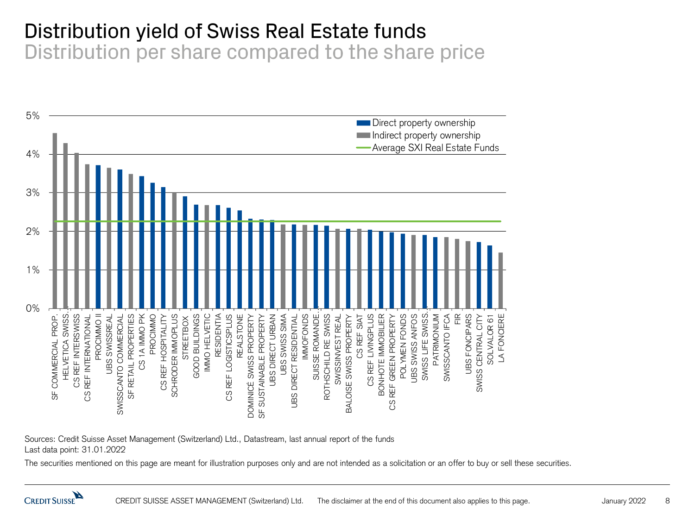## Distribution yield of Swiss Real Estate funds

Distribution per share compared to the share price



Sources: Credit Suisse Asset Management (Switzerland) Ltd., Datastream, last annual report of the funds Last data point: 31.01.2022

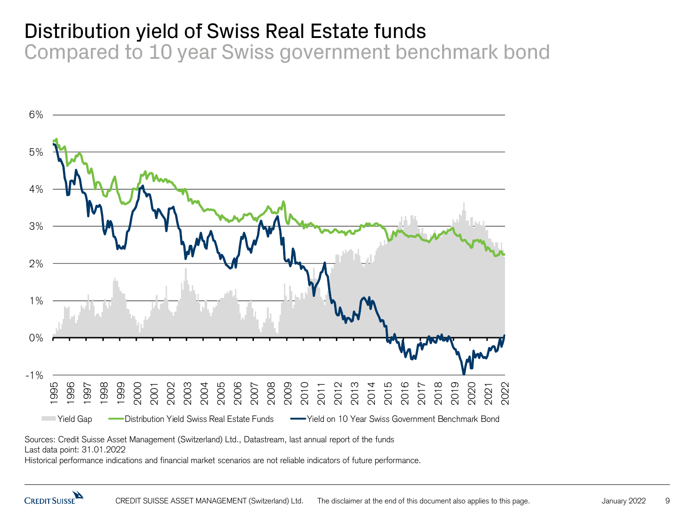#### Distribution yield of Swiss Real Estate funds

Compared to 10 year Swiss government benchmark bond



Sources: Credit Suisse Asset Management (Switzerland) Ltd., Datastream, last annual report of the funds

Last data point: 31.01.2022

Historical performance indications and financial market scenarios are not reliable indicators of future performance.

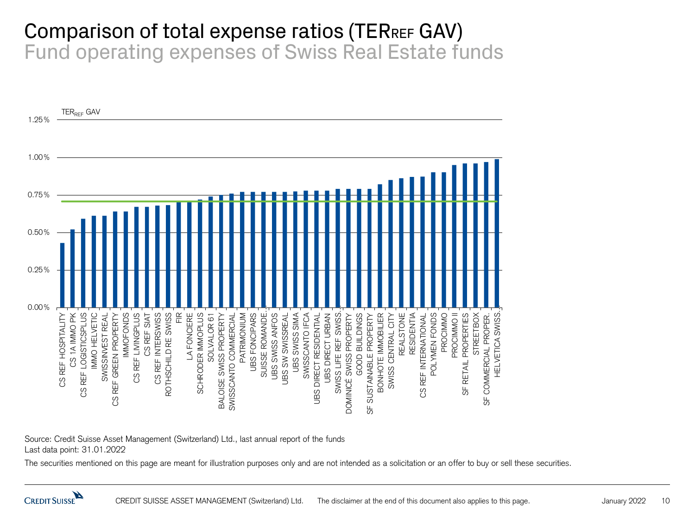#### Comparison of total expense ratios (TERREF GAV) Fund operating expenses of Swiss Real Estate funds



Source: Credit Suisse Asset Management (Switzerland) Ltd., last annual report of the funds Last data point: 31.01.2022

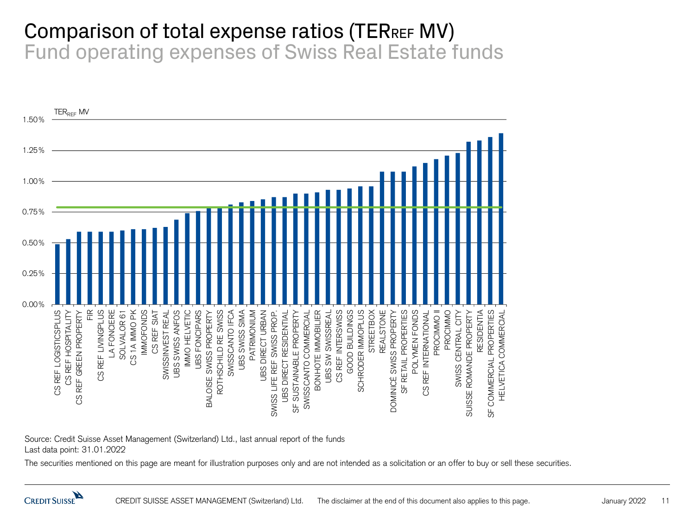#### Comparison of total expense ratios (TERREF MV) Fund operating expenses of Swiss Real Estate funds



Source: Credit Suisse Asset Management (Switzerland) Ltd., last annual report of the funds Last data point: 31.01.2022

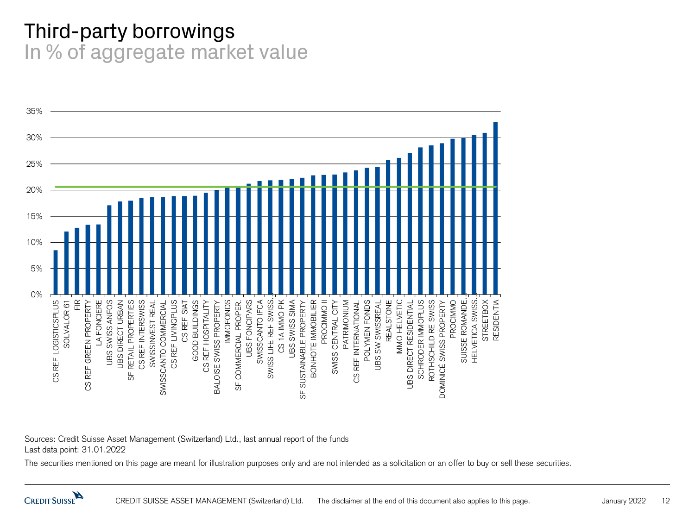#### Third-party borrowings In % of aggregate market value



Sources: Credit Suisse Asset Management (Switzerland) Ltd., last annual report of the funds Last data point: 31.01.2022

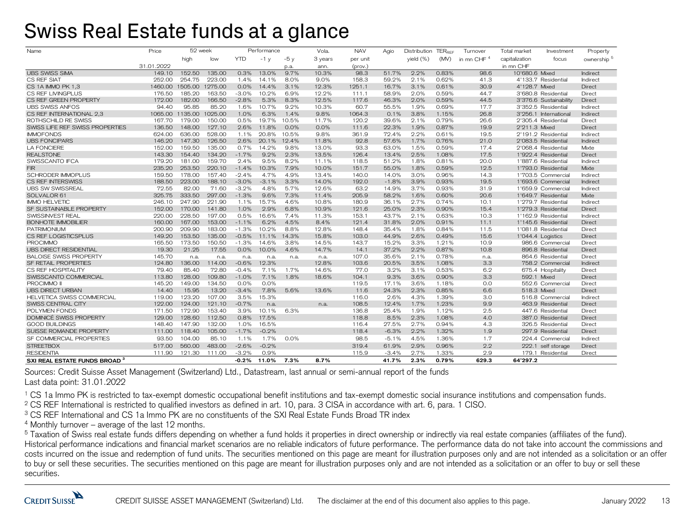#### Swiss Real Estate funds at a glance

| Name                                     | Price      | 52 week |         | Performance |         |       | Vola.   | <b>NAV</b> | Agio    | Distribution TERREE |       | Turnover               | Total market<br>Investment | Property             |
|------------------------------------------|------------|---------|---------|-------------|---------|-------|---------|------------|---------|---------------------|-------|------------------------|----------------------------|----------------------|
|                                          |            | high    | low     | <b>YTD</b>  | $-1y$   | -5 v  | 3 years | per unit   |         | yield $(\%)$        | (MV)  | in mn CHF <sup>4</sup> | capitalization<br>focus    | ownership $^{\rm 5}$ |
|                                          | 31.01.2022 |         |         |             |         | p.a.  | ann.    | (prov.)    |         |                     |       |                        | in mn CHF                  |                      |
| <b>UBS SWISS SIMA</b>                    | 149.10     | 152.50  | 135.00  | 0.3%        | 13.0%   | 9.7%  | 10.3%   | 98.3       | 51.7%   | 2.2%                | 0.83% | 98.6                   | 10'680.6 Mixed             | Indirect             |
| CS REF SIAT                              | 252.00     | 254.75  | 223.00  | 1.4%        | 14.1%   | 8.0%  | 9.0%    | 158.3      | 59.2%   | 2.1%                | 0.62% | 41.3                   | 4'133.7 Residential        | Indirect             |
| CS 1A IMMO PK 1.3                        | 1460.00    | 1505.00 | 1275.00 | 0.0%        | 14.4%   | 3.1%  | 12.3%   | 1251.1     | 16.7%   | 3.1%                | 0.61% | 30.9                   | 4'128.7 Mixed              | Direct               |
| CS REF LIVINGPLUS                        | 176.50     | 185.20  | 163.50  | $-3.0%$     | 10.2%   | 6.9%  | 12.2%   | 111.1      | 58.9%   | 2.0%                | 0.59% | 44.7                   | 3'680.8 Residential        | Direct               |
| CS REF GREEN PROPERTY                    | 172.00     | 182.00  | 166.50  | $-2.8%$     | 5.3%    | 8.3%  | 12.5%   | 117.6      | 46.3%   | 2.0%                | 0.59% | 44.5                   | 3'376.6 Sustainability     | Direct               |
| <b>UBS SWISS ANFOS</b>                   | 94.40      | 95.85   | 85.20   | 1.6%        | 10.7%   | 9.2%  | 10.3%   | 60.7       | 55.5%   | 1.9%                | 0.69% | 17.7                   | 3'352.5 Residentia         | Indirect             |
| CS REF INTERNATIONAL 2.3                 | 1065.00    | 1135.00 | 1025.00 | 1.0%        | 6.3%    | 1.4%  | 9.8%    | 1064.3     | 0.1%    | 3.8%                | 1.15% | 26.8                   | 3'256.1 International      | Indirect             |
| ROTHSCHILD RE SWISS                      | 167.70     | 179.00  | 150.00  | 0.5%        | 19.7%   | 10.5% | 11.7%   | 120.2      | 39.6%   | 2.1%                | 0.79% | 26.6                   | 2'305.4 Residential        | Direct               |
| SWISS LIFE REF SWISS PROPERTIES          | 136.50     | 148.00  | 127.10  | 2.6%        | 11.8%   | 0.0%  | 0.0%    | 111.6      | 22.3%   | 1.9%                | 0.87% | 19.9                   | 2'211.3 Mixed              | Direct               |
| <b>IMMOFONDS</b>                         | 624.00     | 636.00  | 528.00  | 1.1%        | 20.8%   | 10.5% | 9.8%    | 361.9      | 72.4%   | 2.2%                | 0.61% | 19.5                   | 2'191.2 Residential        | Indirect             |
| <b>UBS FONCIPARS</b>                     | 146.20     | 147.30  | 126.50  | 2.6%        | 20.1%   | 12.4% | 11.8%   | 92.8       | 57.6%   | 1.7%                | 0.76% | 21.0                   | 2'083.5 Residential        | Indirect             |
| <b>LA FONCIERE</b>                       | 152.00     | 159.50  | 135.00  | 0.7%        | 14.2%   | 9.8%  | 13.0%   | 93.3       | 63.0%   | 1.5%                | 0.59% | 17.4                   | 2'068.4 Residential        | Mixte                |
| <b>REALSTONE</b>                         | 143.30     | 154.40  | 134.20  | $-1.7%$     | 9.2%    | 2.3%  | 13.5%   | 126.4      | 13.4%   | 2.5%                | 1.08% | 17.5                   | 1'922.4 Residential        | Direct               |
| SWISSCANTO IFCA                          | 179.20     | 181.00  | 159.70  | 2.4%        | 9.5%    | 8.2%  | 11.1%   | 118.5      | 51.2%   | 1.8%                | 0.81% | 20.0                   | 1'887.6 Residentia         | Indirect             |
| <b>FIR</b>                               | 235.20     | 253.50  | 220.10  | $-1.4%$     | 10.3%   | 7.9%  | 10.0%   | 151.7      | 55.0%   | 1.8%                | 0.59% | 12.5                   | 1'793.0 Residential        | Mixte                |
| <b>SCHRODER IMMOPLUS</b>                 | 159.50     | 178.00  | 157.40  | $-2.4%$     | 4.7%    | 4.9%  | 13.4%   | 140.0      | 14.0%   | 3.0%                | 0.96% | 14.3                   | 1'703.5 Commercial         | Indirect             |
| <b>CS REF INTERSWISS</b>                 | 188.50     | 223.00  | 188.10  | $-3.0%$     | $-3.1%$ | 3.3%  | 14.0%   | 192.0      | $-1.8%$ | 3.9%                | 0.93% | 19.5                   | 1'693.6 Commercial         | Indirect             |
| <b>UBS SW SWISSREAL</b>                  | 72.55      | 82.00   | 71.60   | $-3.2%$     | 4.8%    | 5.7%  | 12.6%   | 63.2       | 14.9%   | 3.7%                | 0.93% | 31.9                   | 1'659.9 Commercial         | Indirect             |
| SOLVALOR 61                              | 325.75     | 333.50  | 297.00  | $-1.3%$     | 9.6%    | 7.3%  | 11.4%   | 205.9      | 58.2%   | 1.6%                | 0.60% | 20.6                   | 1'649.7 Residential        | Mixte                |
| <b>IMMO HELVETIC</b>                     | 246.10     | 247.90  | 221.90  | 1.1%        | 15.7%   | 4.6%  | 10.8%   | 180.9      | 36.1%   | 2.7%                | 0.74% | 10.1                   | 1'279.7 Residentia         | Indirect             |
| SF SUSTAINABLE PROPERTY                  | 152.00     | 170.00  | 141.80  | 1.0%        | 2.9%    | 6.8%  | 10.9%   | 121.6      | 25.0%   | 2.3%                | 0.90% | 15.4                   | 1'279.3 Residential        | Direct               |
| SWISSINVEST REAL                         | 220.00     | 228.50  | 197.00  | 0.5%        | 16.6%   | 7.4%  | 11.3%   | 153.1      | 43.7%   | 9.1%                | 0.63% | 10.3                   | 1'162.9 Residential        | Indirect             |
| BONHOTE IMMOBILIER                       | 160.00     | 167.00  | 153.00  | $-1.1%$     | 6.2%    | 4.5%  | 8.4%    | 121.4      | 31.8%   | 2.0%                | 0.91% | 11.1                   | 1'145.6 Residential        | Direct               |
| <b>PATRIMONIUM</b>                       | 200.90     | 209.90  | 183.00  | $-1.3%$     | 10.2%   | 8.8%  | 12.8%   | 148.4      | 35.4%   | 1.8%                | 0.84% | 11.5                   | 1'081.8 Residential        | Direct               |
| CS REF LOGISTICSPLUS                     | 149.20     | 153.50  | 135.00  | $-0.5%$     | 11.1%   | 14.3% | 15.8%   | 103.0      | 44.9%   | 2.6%                | 0.49% | 15.6                   | 1'044.4 Logistics          | Direct               |
| <b>PROCIMMO</b>                          | 165.50     | 173.50  | 150.50  | $-1.3%$     | 14.6%   | 3.8%  | 14.5%   | 143.7      | 15.2%   | 3.3%                | 1.21% | 10.9                   | 986.6 Commercial           | Direct               |
| <b>UBS DIRECT RESIDENTIAL</b>            | 19.30      | 21.25   | 17.55   | 0.0%        | 10.0%   | 4.6%  | 14.7%   | 14.1       | 37.2%   | 2.2%                | 0.87% | 10.8                   | 896.8 Residential          | Direct               |
| <b>BALOISE SWISS PROPERTY</b>            | 145.70     | n.a.    | n.a.    | n.a.        | n.a.    | n.a.  | n.a.    | 107.0      | 35.6%   | 2.1%                | 0.78% | n.a.                   | 864.6 Residentia           | Direct               |
| <b>SF RETAIL PROPERTIES</b>              | 124.80     | 136.00  | 114.00  | $-0.6%$     | 12.3%   |       | 12.8%   | 103.6      | 20.5%   | 3.5%                | 1.08% | 3.3                    | 758.2 Commercial           | Indirect             |
| CS REF HOSPITALITY                       | 79.40      | 85.40   | 72.80   | $-0.4%$     | 7.1%    | 1.7%  | 14.6%   | 77.0       | 3.2%    | 3.1%                | 0.53% | 6.2                    | 675.4 Hospitality          | Direct               |
| SWISSCANTO COMMERCIAL                    | 113.80     | 128.00  | 109.80  | $-1.0%$     | 7.1%    | 1.8%  | 18.6%   | 104.1      | 9.3%    | 3.6%                | 0.90% | 3.3                    | 592.1 Mixed                | Direct               |
| PROCIMMO II                              | 145.20     | 149.00  | 134.50  | 0.0%        | 0.0%    |       |         | 119.5      | 17.1%   | 3.6%                | 1.18% | 0.0                    | 552.6 Commercial           | Direct               |
| <b>UBS DIRECT URBAN</b>                  | 14.40      | 15.95   | 13.20   | $-3.4%$     | 7.8%    | 5.6%  | 13.6%   | 11.6       | 24.3%   | 2.3%                | 0.85% | 6.6                    | 518.3 Mixed                | Direct               |
| <b>HELVETICA SWISS COMMERCIAL</b>        | 119.00     | 123.20  | 107.00  | 3.5%        | 15.3%   |       |         | 116.0      | 2.6%    | 4.3%                | 1.39% | 3.0                    | 516.8 Commercial           | Indirect             |
| SWISS CENTRAL CITY                       | 122.00     | 124.00  | 121.10  | $-0.7%$     | n.a.    |       | n.a.    | 108.5      | 12.4%   | 1.7%                | 1.23% | 9.9                    | 463.9 Residential          | Direct               |
| POLYMEN FONDS                            | 171.50     | 172.90  | 153.40  | 3.9%        | 10.1%   | 6.3%  |         | 136.8      | 25.4%   | 1.9%                | 1.12% | 2.5                    | 447.6 Residentia           | Direct               |
| DOMINICÉ SWISS PROPERTY                  | 129.00     | 128.60  | 112.50  | 0.8%        | 17.5%   |       |         | 118.8      | 8.5%    | 2.3%                | 1.08% | 4.0                    | 387.0 Residential          | Direct               |
| <b>GOOD BUILDINGS</b>                    | 148.40     | 147.90  | 132.00  | 1.0%        | 16.5%   |       |         | 116.4      | 27.5%   | 2.7%                | 0.94% | 4.3                    | 326.5 Residentia           | Direct               |
| SUISSE ROMANDE PROPERTY                  | 111.00     | 118.40  | 105.00  | $-1.7%$     | $-0.2%$ |       |         | 118.4      | $-6.3%$ | 2.2%                | 1.32% | 1.9                    | 297.9 Residential          | Direct               |
| SF COMMERCIAL PROPERTIES                 | 93.50      | 104.00  | 85.10   | 1.1%        | 1.7%    | 0.0%  |         | 98.5       | $-5.1%$ | 4.5%                | 1.36% | 1.7                    | 224.4 Commercial           | Indirect             |
| <b>STREETBOX</b>                         | 517.00     | 560.00  | 483.00  | $-2.6%$     | $-0.2%$ |       |         | 319.4      | 61.9%   | 2.9%                | 0.96% | 2.2                    | 222.1 self storage         | Direct               |
| <b>RESIDENTIA</b>                        | 111.90     | 121.30  | 111.00  | $-3.2%$     | 0.9%    |       |         | 115.9      | $-3.4%$ | 2.7%                | 1.33% | 2.9                    | 179.1 Residentia           | Direct               |
| SXI REAL ESTATE FUNDS BROAD <sup>3</sup> |            |         |         | -0.2%       | 11.0%   | 7.3%  | 8.7%    |            | 41.7%   | 2.3%                | 0.79% | 629.3                  | 64'297.2                   |                      |

Sources: Credit Suisse Asset Management (Switzerland) Ltd., Datastream, last annual or semi-annual report of the funds Last data point: 31.01.2022

<sup>1</sup> CS 1a Immo PK is restricted to tax-exempt domestic occupational benefit institutions and tax-exempt domestic social insurance institutions and compensation funds.

<sup>2</sup> CS REF International is restricted to qualified investors as defined in art. 10, para. 3 CISA in accordance with art. 6, para. 1 CISO.

<sup>3</sup> CS REF International and CS 1a Immo PK are no constituents of the SXI Real Estate Funds Broad TR index

 $4$  Monthly turnover – average of the last 12 months.

<sup>5</sup> Taxation of Swiss real estate funds differs depending on whether a fund holds it properties in direct ownership or indirectly via real estate companies (affiliates of the fund). Historical performance indications and financial market scenarios are no reliable indicators of future performance. The performance data do not take into account the commissions and costs incurred on the issue and redemption of fund units. The securities mentioned on this page are meant for illustration purposes only and are not intended as a solicitation or an offer to buy or sell these securities. The securities mentioned on this page are meant for illustration purposes only and are not intended as a solicitation or an offer to buy or sell these securities.

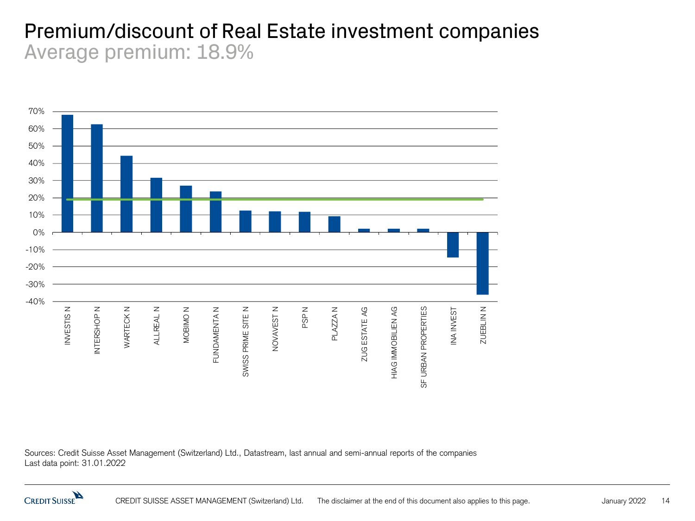#### Premium/discount of Real Estate investment companies Average premium: 18.9%



Sources: Credit Suisse Asset Management (Switzerland) Ltd., Datastream, last annual and semi-annual reports of the companies Last data point: 31.01.2022

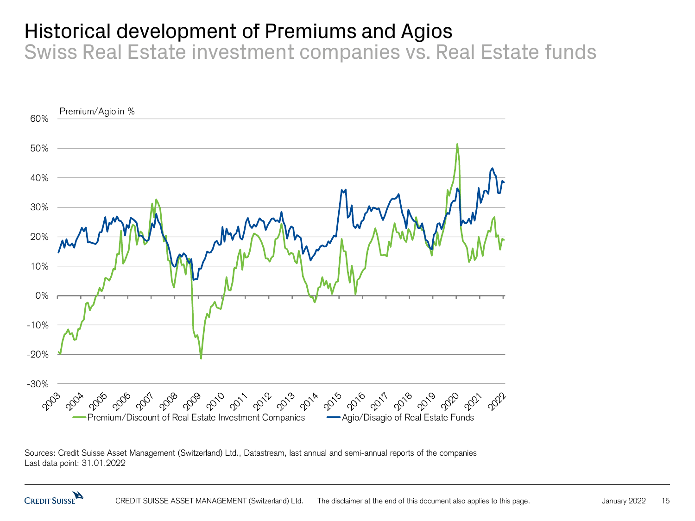## Historical development of Premiums and Agios

Swiss Real Estate investment companies vs. Real Estate funds



Sources: Credit Suisse Asset Management (Switzerland) Ltd., Datastream, last annual and semi-annual reports of the companies Last data point: 31.01.2022

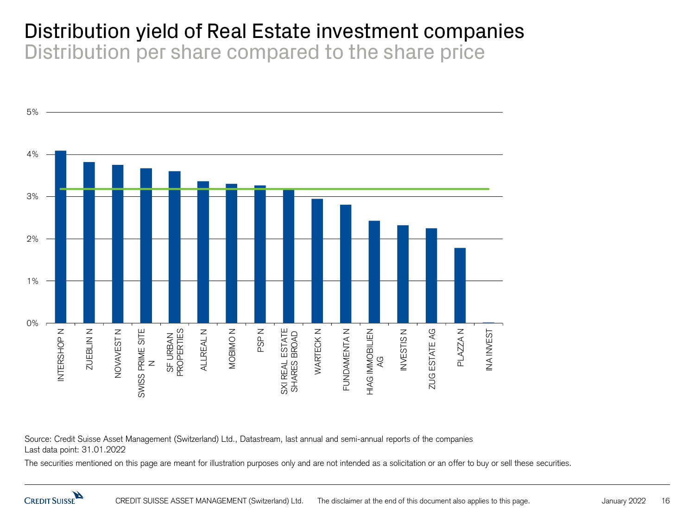#### Distribution yield of Real Estate investment companies Distribution per share compared to the share price



Source: Credit Suisse Asset Management (Switzerland) Ltd., Datastream, last annual and semi-annual reports of the companies Last data point: 31.01.2022

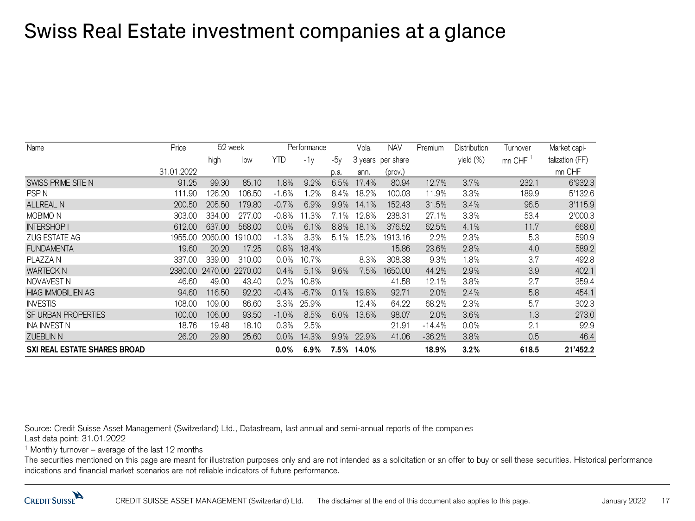### Swiss Real Estate investment companies at a glance

| Name                                | Price      | 52 week |         | Performance |         |         | Vola. | <b>NAV</b>        | Premium  | <b>Distribution</b> | Turnover | Market capi-    |
|-------------------------------------|------------|---------|---------|-------------|---------|---------|-------|-------------------|----------|---------------------|----------|-----------------|
|                                     |            | high    | low     | <b>YTD</b>  | $-1v$   | $-5v$   |       | 3 years per share |          | yield (%)           | mn CHF   | talization (FF) |
|                                     | 31.01.2022 |         |         |             |         | p.a.    | ann.  | (prov.)           |          |                     |          | mn CHF          |
| SWISS PRIME SITE N                  | 91.25      | 99.30   | 85.10   | .8%         | 9.2%    | 6.5%    | 17.4% | 80.94             | 12.7%    | 3.7%                | 232.1    | 6'932.3         |
| <b>PSPN</b>                         | 111.90     | 126.20  | 106.50  | $-1.6%$     | .2%     | 8.4%    | 18.2% | 100.03            | 11.9%    | 3.3%                | 189.9    | 5'132.6         |
| <b>ALLREAL N</b>                    | 200.50     | 205.50  | 179.80  | $-0.7%$     | 6.9%    | 9.9%    | 14.1% | 152.43            | 31.5%    | 3.4%                | 96.5     | 3'115.9         |
| <b>MOBIMO N</b>                     | 303.00     | 334.00  | 277.00  | $-0.8%$     | .3%     | 7.1%    | 12.8% | 238.31            | 27.1%    | 3.3%                | 53.4     | 2'000.3         |
| <b>INTERSHOP I</b>                  | 612.00     | 637,00  | 568.00  | 0.0%        | 6.1%    | 8.8%    | 18.1% | 376.52            | 62.5%    | 4.1%                | 11.7     | 668.0           |
| ZUG ESTATE AG                       | 1955.00    | 2060.00 | 1910.00 | $-1.3%$     | 3.3%    | 5.1%    | 15.2% | 1913.16           | 2.2%     | 2.3%                | 5.3      | 590.9           |
| <b>FUNDAMENTA</b>                   | 19.60      | 20.20   | 17.25   | 0.8%        | 18.4%   |         |       | 15.86             | 23.6%    | 2.8%                | 4.0      | 589.2           |
| PLAZZA N                            | 337.00     | 339,00  | 310.00  | $0.0\%$     | 10.7%   |         | 8.3%  | 308.38            | 9.3%     | 1.8%                | 3.7      | 492.8           |
| <b>WARTECK N</b>                    | 2380.00    | 2470.00 | 2270.00 | 0.4%        | 5.1%    | 9.6%    | 7.5%  | 1650.00           | 44.2%    | 2.9%                | 3.9      | 402.1           |
| NOVAVEST N                          | 46.60      | 49.00   | 43.40   | 0.2%        | 10.8%   |         |       | 41.58             | 12.1%    | 3.8%                | 2.7      | 359.4           |
| <b>HIAG IMMOBILIEN AG</b>           | 94.60      | 116.50  | 92.20   | $-0.4%$     | $-6.7%$ | 0.1%    | 19.8% | 92.71             | 2.0%     | 2.4%                | 5.8      | 454.1           |
| <b>INVESTIS</b>                     | 108.00     | 109.00  | 86.60   | 3.3%        | 25.9%   |         | 12.4% | 64.22             | 68.2%    | 2.3%                | 5.7      | 302.3           |
| <b>SF URBAN PROPERTIES</b>          | 100.00     | 106.00  | 93.50   | $-1.0%$     | 8.5%    | 6.0%    | 13.6% | 98.07             | 2.0%     | 3.6%                | 1.3      | 273.0           |
| <b>INA INVEST N</b>                 | 18.76      | 19.48   | 18.10   | 0.3%        | 2.5%    |         |       | 21.91             | $-14.4%$ | 0.0%                | 2.1      | 92.9            |
| <b>ZUEBLIN N</b>                    | 26.20      | 29.80   | 25.60   | 0.0%        | 14.3%   | 9.9%    | 22.9% | 41.06             | $-36.2%$ | 3.8%                | 0.5      | 46.4            |
| <b>SXI REAL ESTATE SHARES BROAD</b> |            |         |         | $0.0\%$     | 6.9%    | $7.5\%$ | 14.0% |                   | 18.9%    | 3.2%                | 618.5    | 21'452.2        |

Source: Credit Suisse Asset Management (Switzerland) Ltd., Datastream, last annual and semi-annual reports of the companies

Last data point: 31.01.2022

<sup>1</sup> Monthly turnover – average of the last 12 months

The securities mentioned on this page are meant for illustration purposes only and are not intended as a solicitation or an offer to buy or sell these securities. Historical performance indications and financial market scenarios are not reliable indicators of future performance.

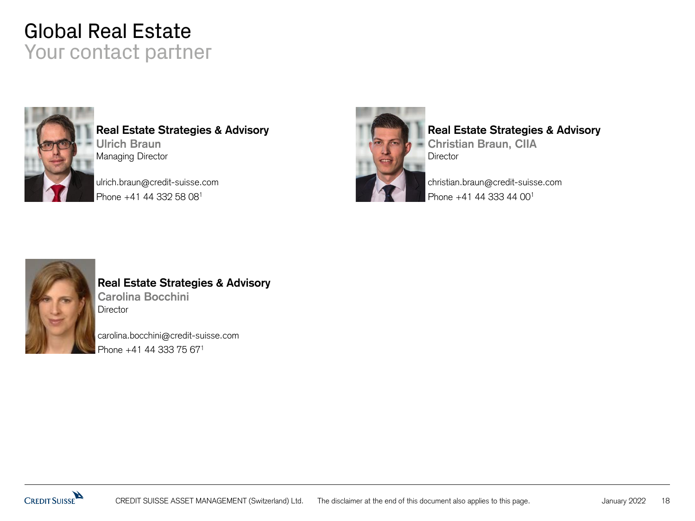#### Global Real Estate Your contact partner



**Real Estate Strategies & Advisory Ulrich Braun** Managing Director

ulrich.braun@credit-suisse.com Phone +41 44 332 58 08<sup>1</sup>



#### **Real Estate Strategies & Advisory**

**Christian Braun, CIIA Director** 

christian.braun@credit-suisse.com Phone +41 44 333 44 00<sup>1</sup>



#### **Real Estate Strategies & Advisory Carolina Bocchini Director**

carolina.bocchini@credit-suisse.com Phone +41 44 333 75 671

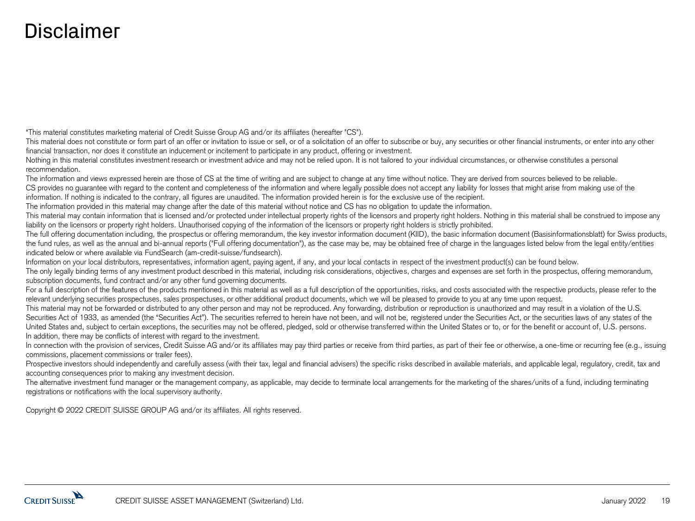#### Disclaimer

"This material constitutes marketing material of Credit Suisse Group AG and/or its affiliates (hereafter "CS").

This material does not constitute or form part of an offer or invitation to issue or sell, or of a solicitation of an offer to subscribe or buy, any securities or other financial instruments, or enter into any other financial transaction, nor does it constitute an inducement or incitement to participate in any product, offering or investment.

Nothing in this material constitutes investment research or investment advice and may not be relied upon. It is not tailored to your individual circumstances, or otherwise constitutes a personal recommendation.

The information and views expressed herein are those of CS at the time of writing and are subject to change at any time without notice. They are derived from sources believed to be reliable. CS provides no guarantee with regard to the content and completeness of the information and where legally possible does not accept any liability for losses that might arise from making use of the information. If nothing is indicated to the contrary, all figures are unaudited. The information provided herein is for the exclusive use of the recipient.

The information provided in this material may change after the date of this material without notice and CS has no obligation to update the information.

This material may contain information that is licensed and/or protected under intellectual property rights of the licensors and property right holders. Nothing in this material shall be construed to impose any liability on the licensors or property right holders. Unauthorised copying of the information of the licensors or property right holders is strictly prohibited.

The full offering documentation including, the prospectus or offering memorandum, the key investor information document (KIID), the basic information document (Basisinformationsblatt) for Swiss products, the fund rules, as well as the annual and bi-annual reports ("Full offering documentation"), as the case may be, may be obtained free of charge in the languages listed below from the legal entity/entities indicated below or where available via FundSearch (am-credit-suisse/fundsearch).

Information on your local distributors, representatives, information agent, paying agent, if any, and your local contacts in respect of the investment product(s) can be found below.

The only legally binding terms of any investment product described in this material, including risk considerations, objectives, charges and expenses are set forth in the prospectus, offering memorandum, subscription documents, fund contract and/or any other fund governing documents.

For a full description of the features of the products mentioned in this material as well as a full description of the opportunities, risks, and costs associated with the respective products, please refer to the relevant underlying securities prospectuses, sales prospectuses, or other additional product documents, which we will be pleased to provide to you at any time upon request.

This material may not be forwarded or distributed to any other person and may not be reproduced. Any forwarding, distribution or reproduction is unauthorized and may result in a violation of the U.S. Securities Act of 1933, as amended (the "Securities Act"). The securities referred to herein have not been, and will not be, registered under the Securities Act, or the securities laws of any states of the United States and, subject to certain exceptions, the securities may not be offered, pledged, sold or otherwise transferred within the United States or to, or for the benefit or account of, U.S. persons. In addition, there may be conflicts of interest with regard to the investment.

In connection with the provision of services, Credit Suisse AG and/or its affiliates may pay third parties or receive from third parties, as part of their fee or otherwise, a one-time or recurring fee (e.g., issuing commissions, placement commissions or trailer fees).

Prospective investors should independently and carefully assess (with their tax, legal and financial advisers) the specific risks described in available materials, and applicable legal, regulatory, credit, tax and accounting consequences prior to making any investment decision.

The alternative investment fund manager or the management company, as applicable, may decide to terminate local arrangements for the marketing of the shares/units of a fund, including terminating registrations or notifications with the local supervisory authority.

Copyright © 2022 CREDIT SUISSE GROUP AG and/or its affiliates. All rights reserved.